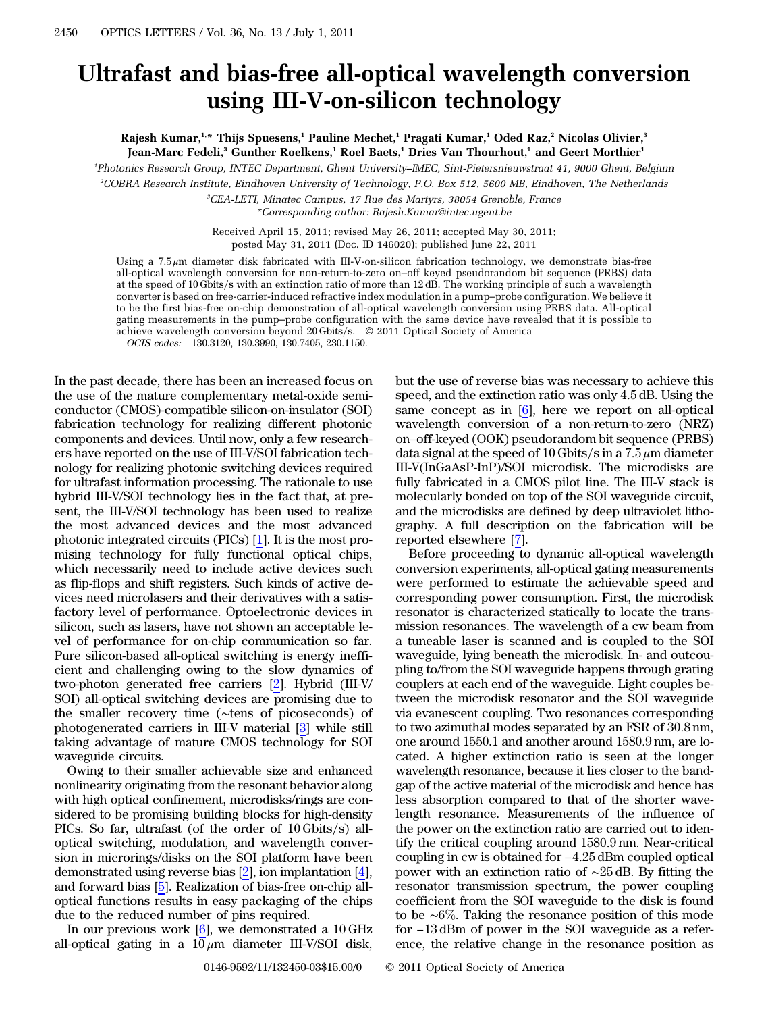## Ultrafast and bias-free all-optical wavelength conversion using III-V-on-silicon technology

Rajesh Kumar,<sup>1,\*</sup> Thijs Spuesens,<sup>1</sup> Pauline Mechet,<sup>1</sup> Pragati Kumar,<sup>1</sup> Oded Raz,<sup>2</sup> Nicolas Olivier,<sup>3</sup> Jean-Marc Fedeli,<sup>3</sup> Gunther Roelkens,<sup>1</sup> Roel Baets,<sup>1</sup> Dries Van Thourhout,<sup>1</sup> and Geert Morthier<sup>1</sup>

1 Photonics Research Group, INTEC Department, Ghent University*–*IMEC, Sint-Pietersnieuwstraat 41, 9000 Ghent, Belgium

2 COBRA Research Institute, Eindhoven University of Technology, P.O. Box 512, 5600 MB, Eindhoven, The Netherlands

3 CEA-LETI, Minatec Campus, 17 Rue des Martyrs, 38054 Grenoble, France \*Corresponding author: Rajesh.Kumar@intec.ugent.be

Received April 15, 2011; revised May 26, 2011; accepted May 30, 2011; posted May 31, 2011 (Doc. ID 146020); published June 22, 2011

Using a 7:5 μm diameter disk fabricated with III-V-on-silicon fabrication technology, we demonstrate bias-free all-optical wavelength conversion for non-return-to-zero on–off keyed pseudorandom bit sequence (PRBS) data at the speed of 10 Gbits/s with an extinction ratio of more than 12 dB. The working principle of such a wavelength converter is based on free-carrier-induced refractive index modulation in a pump–probe configuration. We believe it to be the first bias-free on-chip demonstration of all-optical wavelength conversion using PRBS data. All-optical gating measurements in the pump–probe configuration with the same device have revealed that it is possible to achieve wavelength conversion beyond  $20$  Gbits/s.  $\degree$  2011 Optical Society of America OCIS codes: 130.3120, 130.3990, 130.7405, 230.1150.

In the past decade, there has been an increased focus on the use of the mature complementary metal-oxide semiconductor (CMOS)-compatible silicon-on-insulator (SOI) fabrication technology for realizing different photonic components and devices. Until now, only a few researchers have reported on the use of III-V/SOI fabrication technology for realizing photonic switching devices required for ultrafast information processing. The rationale to use hybrid III-V/SOI technology lies in the fact that, at present, the III-V/SOI technology has been used to realize the most advanced devices and the most advanced photonic integrated circuits (PICs) [\[1](#page-2-0)]. It is the most promising technology for fully functional optical chips, which necessarily need to include active devices such as flip-flops and shift registers. Such kinds of active devices need microlasers and their derivatives with a satisfactory level of performance. Optoelectronic devices in silicon, such as lasers, have not shown an acceptable level of performance for on-chip communication so far. Pure silicon-based all-optical switching is energy inefficient and challenging owing to the slow dynamics of two-photon generated free carriers [\[2](#page-2-1)]. Hybrid (III-V/ SOI) all-optical switching devices are promising due to the smaller recovery time (∼tens of picoseconds) of photogenerated carriers in III-V material [[3\]](#page-2-2) while still taking advantage of mature CMOS technology for SOI waveguide circuits.

Owing to their smaller achievable size and enhanced nonlinearity originating from the resonant behavior along with high optical confinement, microdisks/rings are considered to be promising building blocks for high-density PICs. So far, ultrafast (of the order of  $10 \text{ Gibbs/s}$ ) alloptical switching, modulation, and wavelength conversion in microrings/disks on the SOI platform have been demonstrated using reverse bias [[2\]](#page-2-1), ion implantation [\[4](#page-2-3)], and forward bias [\[5](#page-2-4)]. Realization of bias-free on-chip alloptical functions results in easy packaging of the chips due to the reduced number of pins required.

In our previous work  $[6]$  $[6]$ , we demonstrated a 10 GHz all-optical gating in a  $10 \mu m$  diameter III-V/SOI disk,

but the use of reverse bias was necessary to achieve this speed, and the extinction ratio was only 4:5 dB. Using the same concept as in [[6\]](#page-2-5), here we report on all-optical wavelength conversion of a non-return-to-zero (NRZ) on–off-keyed (OOK) pseudorandom bit sequence (PRBS) data signal at the speed of 10 Gbits/s in a  $7.5 \mu m$  diameter III-V(InGaAsP-InP)/SOI microdisk. The microdisks are fully fabricated in a CMOS pilot line. The III-V stack is molecularly bonded on top of the SOI waveguide circuit, and the microdisks are defined by deep ultraviolet lithography. A full description on the fabrication will be reported elsewhere [\[7](#page-2-6)].

Before proceeding to dynamic all-optical wavelength conversion experiments, all-optical gating measurements were performed to estimate the achievable speed and corresponding power consumption. First, the microdisk resonator is characterized statically to locate the transmission resonances. The wavelength of a cw beam from a tuneable laser is scanned and is coupled to the SOI waveguide, lying beneath the microdisk. In- and outcoupling to/from the SOI waveguide happens through grating couplers at each end of the waveguide. Light couples between the microdisk resonator and the SOI waveguide via evanescent coupling. Two resonances corresponding to two azimuthal modes separated by an FSR of 30:8 nm, one around 1550.1 and another around 1580:9 nm, are located. A higher extinction ratio is seen at the longer wavelength resonance, because it lies closer to the bandgap of the active material of the microdisk and hence has less absorption compared to that of the shorter wavelength resonance. Measurements of the influence of the power on the extinction ratio are carried out to identify the critical coupling around 1580:9 nm. Near-critical coupling in cw is obtained for <sup>−</sup>4:<sup>25</sup> dBm coupled optical power with an extinction ratio of <sup>∼</sup><sup>25</sup> dB. By fitting the resonator transmission spectrum, the power coupling coefficient from the SOI waveguide to the disk is found to be ∼6%. Taking the SOI waveguide to the disk is found<br>to be ∼6%. Taking the resonance position of this mode for  $\alpha$  is an exameleon radio of  $\alpha$  or  $\beta$  db. By many directly resonator transmission spectrum, the power coupling coefficient from the SOI waveguide to the disk is found to be  $\sim 6\%$ . Taking the resonance position ence, the relative change in the resonance position as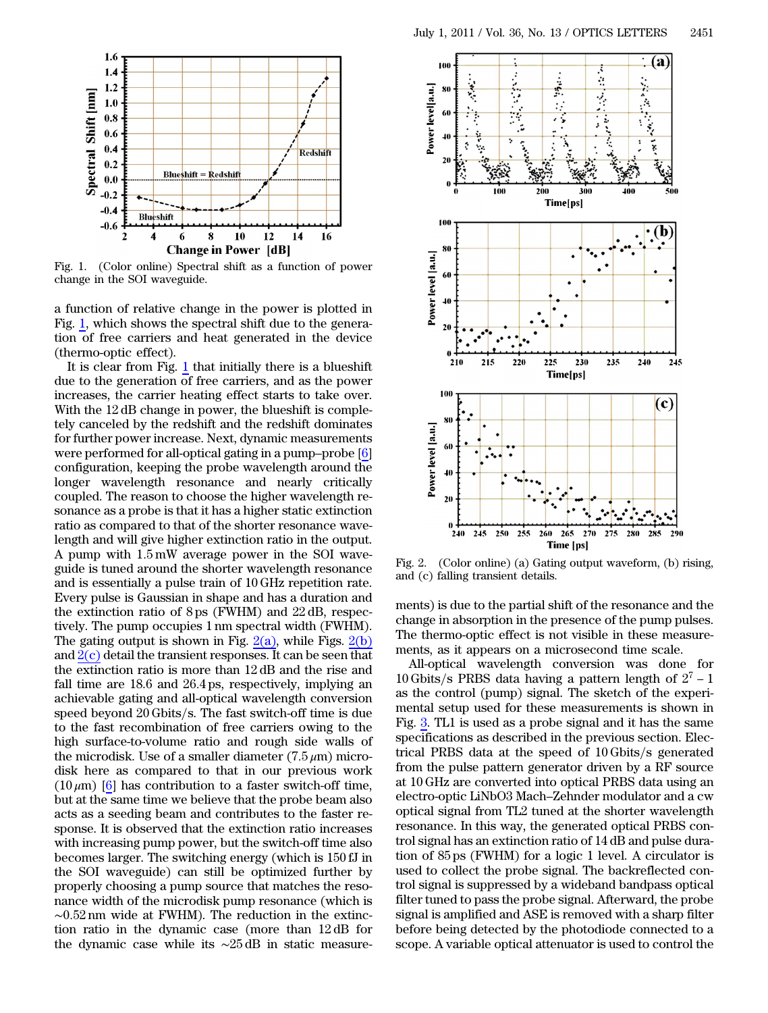<span id="page-1-0"></span>

Fig. 1. (Color online) Spectral shift as a function of power change in the SOI waveguide.

a function of relative change in the power is plotted in Fig. [1](#page-1-0), which shows the spectral shift due to the generation of free carriers and heat generated in the device (thermo-optic effect).

It is clear from Fig. [1](#page-1-0) that initially there is a blueshift due to the generation of free carriers, and as the power increases, the carrier heating effect starts to take over. With the 12 dB change in power, the blueshift is completely canceled by the redshift and the redshift dominates for further power increase. Next, dynamic measurements were performed for all-optical gating in a pump–probe [[6\]](#page-2-5) configuration, keeping the probe wavelength around the longer wavelength resonance and nearly critically coupled. The reason to choose the higher wavelength resonance as a probe is that it has a higher static extinction ratio as compared to that of the shorter resonance wavelength and will give higher extinction ratio in the output. A pump with 1:5 mW average power in the SOI waveguide is tuned around the shorter wavelength resonance and is essentially a pulse train of 10 GHz repetition rate. Every pulse is Gaussian in shape and has a duration and the extinction ratio of 8 ps (FWHM) and 22 dB, respectively. The pump occupies 1 nm spectral width (FWHM). The gating output is shown in Fig.  $2(a)$ , while Figs.  $2(b)$ and  $2(c)$  detail the transient responses. It can be seen that the extinction ratio is more than 12 dB and the rise and fall time are 18.6 and 26:4 ps, respectively, implying an achievable gating and all-optical wavelength conversion speed beyond 20 Gbits/s. The fast switch-off time is due to the fast recombination of free carriers owing to the high surface-to-volume ratio and rough side walls of the microdisk. Use of a smaller diameter  $(7.5 \,\mu\text{m})$  microdisk here as compared to that in our previous work  $(10 \,\mu\text{m})$  [[6\]](#page-2-5) has contribution to a faster switch-off time, but at the same time we believe that the probe beam also acts as a seeding beam and contributes to the faster response. It is observed that the extinction ratio increases with increasing pump power, but the switch-off time also becomes larger. The switching energy (which is 150 fJ in the SOI waveguide) can still be optimized further by properly choosing a pump source that matches the resonance width of the microdisk pump resonance (which is <sup>∼</sup>0:<sup>52</sup> nm wide at FWHM). The reduction in the extinction ratio in the dynamic case (more than 12 dB for the dynamic case while its <sup>∼</sup><sup>25</sup> dB in static measure-



<span id="page-1-1"></span>Fig. 2. (Color online) (a) Gating output waveform, (b) rising, and (c) falling transient details.

ments) is due to the partial shift of the resonance and the change in absorption in the presence of the pump pulses. The thermo-optic effect is not visible in these measure-<br>ments, as it appears on a microsecond time scale.<br>All-optical wavelength conversion was done for<br>10 Gbits/s PRBS data having a pattern length of  $2^7 - 1$ ments, as it appears on a microsecond time scale.

All-optical wavelength conversion was done for as the control (pump) signal. The sketch of the experimental setup used for these measurements is shown in Fig. [3](#page-2-7). TL1 is used as a probe signal and it has the same specifications as described in the previous section. Electrical PRBS data at the speed of  $10 \text{ Gbits/s}$  generated from the pulse pattern generator driven by a RF source at 10 GHz are converted into optical PRBS data using an electro-optic LiNbO3 Mach–Zehnder modulator and a cw optical signal from TL2 tuned at the shorter wavelength resonance. In this way, the generated optical PRBS control signal has an extinction ratio of 14 dB and pulse duration of 85 ps (FWHM) for a logic 1 level. A circulator is used to collect the probe signal. The backreflected control signal is suppressed by a wideband bandpass optical filter tuned to pass the probe signal. Afterward, the probe signal is amplified and ASE is removed with a sharp filter before being detected by the photodiode connected to a scope. A variable optical attenuator is used to control the